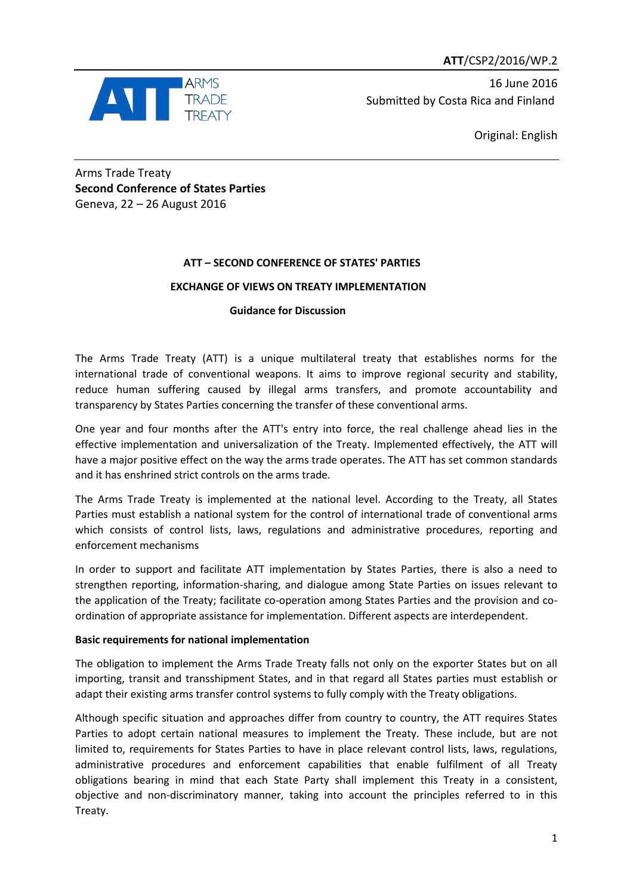**ATT**/CSP2/2016/WP.2



16 June 2016 Submitted by Costa Rica and Finland

Original: English

Arms Trade Treaty **Second Conference of States Parties** Geneva, 22 – 26 August 2016

## **ATT – SECOND CONFERENCE OF STATES' PARTIES**

## **EXCHANGE OF VIEWS ON TREATY IMPLEMENTATION**

 **Guidance for Discussion**

The Arms Trade Treaty (ATT) is a unique multilateral treaty that establishes norms for the international trade of conventional weapons. It aims to improve regional security and stability, reduce human suffering caused by illegal arms transfers, and promote accountability and transparency by States Parties concerning the transfer of these conventional arms.

One year and four months after the ATT's entry into force, the real challenge ahead lies in the effective implementation and universalization of the Treaty. Implemented effectively, the ATT will have a major positive effect on the way the arms trade operates. The ATT has set common standards and it has enshrined strict controls on the arms trade.

The Arms Trade Treaty is implemented at the national level. According to the Treaty, all States Parties must establish a national system for the control of international trade of conventional arms which consists of control lists, laws, regulations and administrative procedures, reporting and enforcement mechanisms

In order to support and facilitate ATT implementation by States Parties, there is also a need to strengthen reporting, information-sharing, and dialogue among State Parties on issues relevant to the application of the Treaty; facilitate co-operation among States Parties and the provision and coordination of appropriate assistance for implementation. Different aspects are interdependent.

## **Basic requirements for national implementation**

The obligation to implement the Arms Trade Treaty falls not only on the exporter States but on all importing, transit and transshipment States, and in that regard all States parties must establish or adapt their existing arms transfer control systems to fully comply with the Treaty obligations.

Although specific situation and approaches differ from country to country, the ATT requires States Parties to adopt certain national measures to implement the Treaty*.* These include, but are not limited to, requirements for States Parties to have in place relevant control lists, laws, regulations, administrative procedures and enforcement capabilities that enable fulfilment of all Treaty obligations bearing in mind that each State Party shall implement this Treaty in a consistent, objective and non-discriminatory manner, taking into account the principles referred to in this Treaty.